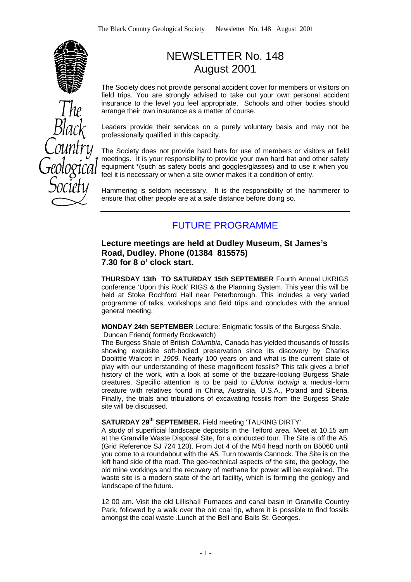

# NEWSLETTER No. 148 August 2001

The Society does not provide personal accident cover for members or visitors on field trips. You are strongly advised to take out your own personal accident insurance to the level you feel appropriate. Schools and other bodies should arrange their own insurance as a matter of course.

Leaders provide their services on a purely voluntary basis and may not be professionally qualified in this capacity.

The Society does not provide hard hats for use of members or visitors at field meetings. It is your responsibility to provide your own hard hat and other safety equipment \*(such as safety boots and goggles/glasses) and to use it when you feel it is necessary or when a site owner makes it a condition of entry.

Hammering is seldom necessary. It is the responsibility of the hammerer to ensure that other people are at a safe distance before doing so.

## FUTURE PROGRAMME

#### **Lecture meetings are held at Dudley Museum, St James's Road, Dudley. Phone (01384 815575) 7.30 for 8 o' clock start.**

**THURSDAY 13th TO SATURDAY 15th SEPTEMBER** Fourth Annual UKRIGS conference 'Upon this Rock' RIGS & the Planning System. This year this will be held at Stoke Rochford Hall near Peterborough. This includes a very varied programme of talks, workshops and field trips and concludes with the annual general meeting.

**MONDAY 24th SEPTEMBER** Lecture: Enigmatic fossils of the Burgess Shale.

Duncan Friend( formerly Rockwatch)

The Burgess Shale of British *Columbia,* Canada has yielded thousands of fossils showing exquisite soft-bodied preservation since its discovery by Charles Doolittle Walcott in *1909.* Nearly 100 years on and what is the current state of play with our understanding of these magnificent fossils? This talk gives a brief history of the work, with a look at some of the bizzare-looking Burgess Shale creatures. Specific attention is to be paid to *Eldonia Iudwigi* a medusi-form creature with relatives found in China, Australia, U.S.A., Poland and Siberia. Finally, the trials and tribulations of excavating fossils from the Burgess Shale site will be discussed.

#### **SATURDAY 29th SEPTEMBER.** Field meeting 'TALKING DIRTY'.

A study of superficial landscape deposits in the Telford area. Meet at 10.15 am at the Granville Waste Disposal Site, for a conducted tour. The Site is off the A5. (Grid Reference SJ 724 120). From Jot 4 of the M54 head north on B5060 until you come to a roundabout with the *A5.* Turn towards Cannock. The Site is on the left hand side of the road. The geo-technical aspects *of* the site, the geology, the old mine workings and the recovery of methane for power will be explained. The waste site is a modern state of the art facility, which is forming the geology and landscape of the future.

12 00 am. Visit the old LiIlishaII Furnaces and canal basin in Granville Country Park, followed by a walk over the old coal tip, where it is possible to find fossils amongst the coal waste .Lunch at the Bell and Bails St. Georges.

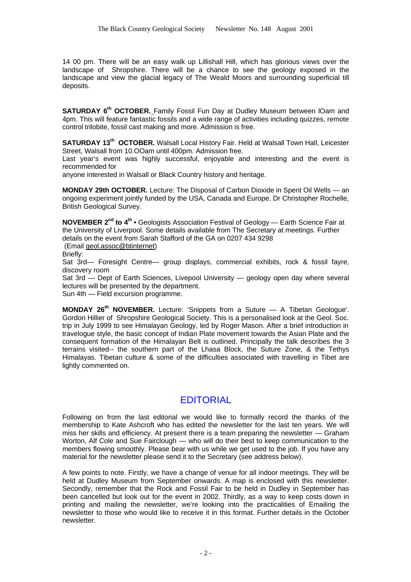14 00 pm. There will be an easy walk up Lillishall Hill, which has glorious views over the landscape of Shropshire. There will be a chance to see the geology exposed in the landscape and view the glacial legacy of The Weald Moors and surrounding superficial till deposits.

**SATURDAY 6 th OCTOBER.** Family Fossil Fun Day at Dudley Museum between lOam and 4pm. This will feature fantastic fossils and a wide range of activities including quizzes, remote control trilobite, fossil cast making and more. Admission is free.

**SATURDAY 13th OCTOBER.** Walsall Local History Fair. Held at Walsall Town Hall, Leicester Street, Walsall from 10.00am until 400pm. Admission free.

Last year's event was highly successful, enjoyable and interesting and the event is recommended for

anyone interested in Walsall or Black Country history and heritage.

**MONDAY 29th OCTOBER.** Lecture: The Disposal of Carbon Dioxide in Spent Oil Wells — an ongoing experiment jointly funded by the USA, Canada and Europe. Dr Christopher Rochelle, British Geological Survey.

**NOVEMBER 2nd to 4th •** Geologists Association Festival of Geology — Earth Science Fair at the University of Liverpool. Some details available from The Secretary at meetings. Further details on the event from Sarah Stafford of the GA on 0207 434 9298

(Email geol.assoc@btinternet)

Briefly:

Sat 3rd— Foresight Centre— group displays, commercial exhibits, rock & fossil fayre, discovery room

Sat 3rd — Dept of Earth Sciences, Livepool University — geology open day where several lectures will be presented by the department.

Sun 4th — Field excursion programme.

**MONDAY 26th NOVEMBER.** Lecture: 'Snippets from a Suture — A Tibetan Geologue'. Gordon Hillier of Shropshire Geological Society. This is a personalised look at the Geol. Soc. trip in July 1999 to see Himalayan Geology, led by Roger Mason. After a brief introduction in travelogue style, the basic concept of Indian Plate movement towards the Asian Plate and the consequent formation of the Himalayan Belt is outlined. Principally the talk describes the 3 terrains visited-- the southern part of the Lhasa Block, the Suture Zone, & the Tethys Himalayas. Tibetan culture & some of the difficulties associated with travelling in Tibet are lightly commented on.

## EDITORIAL

Following on from the last editorial we would like to formally record the thanks of the membership to Kate Ashcroft who has edited the newsletter for the last ten years. We will miss her skills and efficiency. At present there is a team preparing the newsletter — Graham Worton, Alf Cole and Sue Fairclough — who will do their best to keep communication to the members flowing smoothly. Please bear with us while we get used to the job. If you have any material for the newsletter please send it to the Secretary (see address below).

A few points to note. Firstly, we have a change of venue for all indoor meetings. They will be held at Dudley Museum from September onwards. A map is enclosed with this newsletter. Secondly, remember that the Rock and Fossil Fair to be held in Dudley in September has been cancelled but look out for the event in 2002. Thirdly, as a way to keep costs down in printing and mailing the newsletter, we're looking into the practicalities of Emailing the newsletter to those who would like to receive it in this format. Further details in the October newsletter.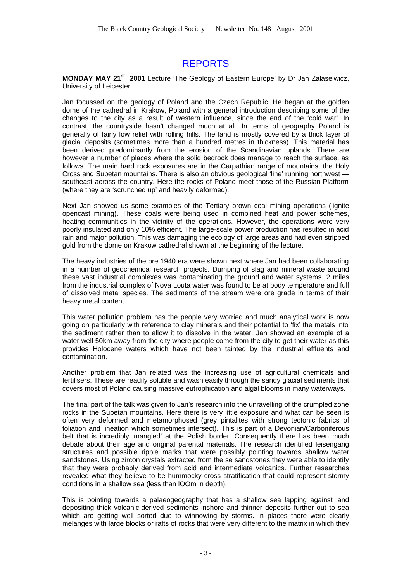# REPORTS

#### **MONDAY MAY 21st 2001** Lecture 'The Geology of Eastern Europe' by Dr Jan Zalaseiwicz, University of Leicester

Jan focussed on the geology of Poland and the Czech Republic. He began at the golden dome of the cathedral in Krakow, Poland with a general introduction describing some of the changes to the city as a result of western influence, since the end of the 'cold war'. In contrast, the countryside hasn't changed much at all. In terms of geography Poland is generally of fairly low relief with rolling hills. The land is mostly covered by a thick layer of glacial deposits (sometimes more than a hundred metres in thickness). This material has been derived predominantly from the erosion of the Scandinavian uplands. There are however a number of places where the solid bedrock does manage to reach the surface, as follows. The main hard rock exposures are in the Carpathian range of mountains, the Holy Cross and Subetan mountains. There is also an obvious geological 'line' running northwest southeast across the country. Here the rocks of Poland meet those of the Russian Platform (where they are 'scrunched up' and heavily deformed).

Next Jan showed us some examples of the Tertiary brown coal mining operations (lignite opencast mining). These coals were being used in combined heat and power schemes, heating communities in the vicinity of the operations. However, the operations were very poorly insulated and only 10% efficient. The large-scale power production has resulted in acid rain and major pollution. This was damaging the ecology of large areas and had even stripped gold from the dome on Krakow cathedral shown at the beginning of the lecture.

The heavy industries of the pre 1940 era were shown next where Jan had been collaborating in a number of geochemical research projects. Dumping of slag and mineral waste around these vast industrial complexes was contaminating the ground and water systems. 2 miles from the industrial complex of Nova Louta water was found to be at body temperature and full of dissolved metal species. The sediments of the stream were ore grade in terms of their heavy metal content.

This water pollution problem has the people very worried and much analytical work is now going on particularly with reference to clay minerals and their potential to 'fix' the metals into the sediment rather than to allow it to dissolve in the water. Jan showed an example of a water well 50km away from the city where people come from the city to get their water as this provides Holocene waters which have not been tainted by the industrial effluents and contamination.

Another problem that Jan related was the increasing use of agricultural chemicals and fertilisers. These are readily soluble and wash easily through the sandy glacial sediments that covers most of Poland causing massive eutrophication and algal blooms in many waterways.

The final part of the talk was given to Jan's research into the unravelling of the crumpled zone rocks in the Subetan mountains. Here there is very little exposure and what can be seen is often very deformed and metamorphosed (grey pintalites with strong tectonic fabrics of foliation and lineation which sometimes intersect). This is part of a Devonian/Carboniferous belt that is incredibly 'mangled' at the Polish border. Consequently there has been much debate about their age and original parental materials. The research identified leisengang structures and possible ripple marks that were possibly pointing towards shallow water sandstones. Using zircon crystals extracted from the se sandstones they were able to identify that they were probably derived from acid and intermediate volcanics. Further researches revealed what they believe to be hummocky cross stratification that could represent stormy conditions in a shallow sea (less than lOOm in depth).

This is pointing towards a palaeogeography that has a shallow sea lapping against land depositing thick volcanic-derived sediments inshore and thinner deposits further out to sea which are getting well sorted due to winnowing by storms. In places there were clearly melanges with large blocks or rafts of rocks that were very different to the matrix in which they